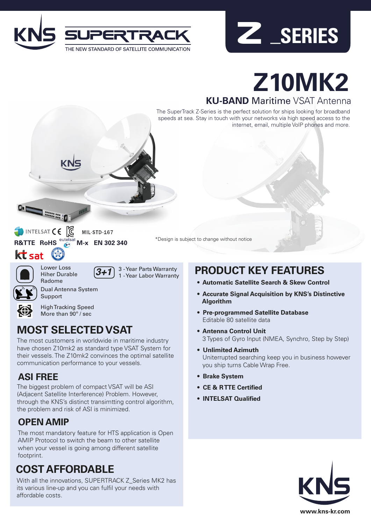



# **Z10MK2**

#### **KU-BAND** Maritime VSAT Antenna

The SuperTrack Z-Series is the perfect solution for ships looking for broadband speeds at sea. Stay in touch with your networks via high speed access to the internet, email, multiple VoIP phones and more.



MIL-STD-167

**R&TTE RoHS M-x EN 302 340**

\*Design is subject to change without notice

Lower Loss Hiher Durable Radome

*3+1* 3 - Year Parts Warranty 1 - Year Labor Warranty



 $kt$  sat

Dual Antenna System

High Tracking Speed More than 90<sup>°</sup> / sec

# **MOST SELECTED VSAT**

The most customers in worldwide in maritime industry have chosen Z10mk2 as standard type VSAT System for their vessels. The Z10mk2 convinces the optimal satellite communication performance to your vessels.

## **ASI FREE**

The biggest problem of compact VSAT will be ASI (Adjacent Satellite Interference) Problem. However, through the KNS's distinct transimtting control algorithm, the problem and risk of ASI is minimized.

### **OPEN AMIP**

The most mandatory feature for HTS application is Open AMIP Protocol to switch the beam to other satellite when your vessel is going among different satellite footprint.

# **COST AFFORDABLE**

With all the innovations, SUPERTRACK Z\_Series MK2 has its various line-up and you can fulfil your needs with affordable costs.

# **PRODUCT KEY FEATURES**

- **• Automatic Satellite Search & Skew Control**
- **• Accurate Signal Acquisition by KNS's Distinctive Algorithm**
- **• Pre-programmed Satellite Database** Editable 80 satellite data
- **• Antenna Control Unit** 3 Types of Gyro Input (NMEA, Synchro, Step by Step)
- **• Unlimited Azimuth** Uniterrupted searching keep you in business however you ship turns Cable Wrap Free.
- **• Brake System**
- **• CE & R TTE Certified**
- **• INTELSAT Qualified**